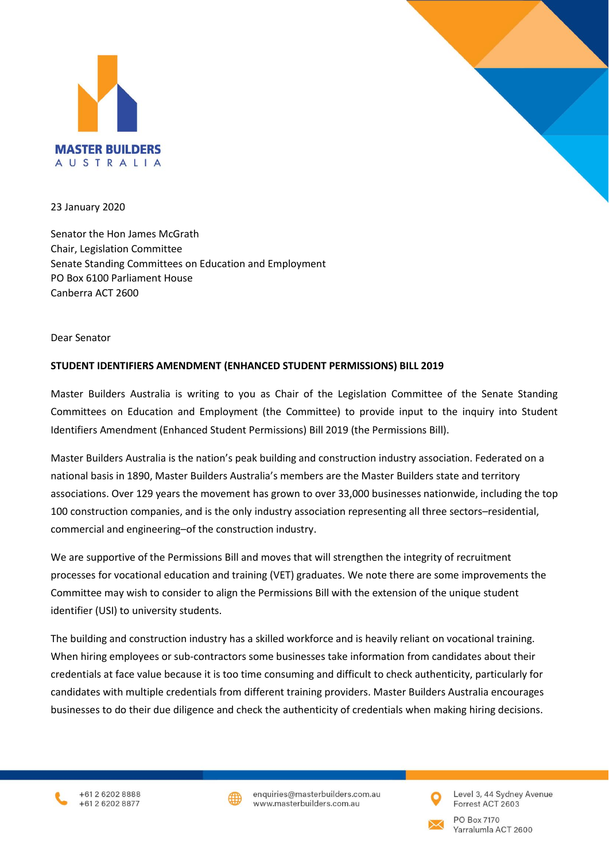

23 January 2020

Senator the Hon James McGrath Chair, Legislation Committee Senate Standing Committees on Education and Employment PO Box 6100 Parliament House Canberra ACT 2600

Dear Senator

## **STUDENT IDENTIFIERS AMENDMENT (ENHANCED STUDENT PERMISSIONS) BILL 2019**

Master Builders Australia is writing to you as Chair of the Legislation Committee of the Senate Standing Committees on Education and Employment (the Committee) to provide input to the inquiry into Student Identifiers Amendment (Enhanced Student Permissions) Bill 2019 (the Permissions Bill).

Master Builders Australia is the nation's peak building and construction industry association. Federated on a national basis in 1890, Master Builders Australia's members are the Master Builders state and territory associations. Over 129 years the movement has grown to over 33,000 businesses nationwide, including the top 100 construction companies, and is the only industry association representing all three sectors–residential, commercial and engineering–of the construction industry.

We are supportive of the Permissions Bill and moves that will strengthen the integrity of recruitment processes for vocational education and training (VET) graduates. We note there are some improvements the Committee may wish to consider to align the Permissions Bill with the extension of the unique student identifier (USI) to university students.

The building and construction industry has a skilled workforce and is heavily reliant on vocational training. When hiring employees or sub-contractors some businesses take information from candidates about their credentials at face value because it is too time consuming and difficult to check authenticity, particularly for candidates with multiple credentials from different training providers. Master Builders Australia encourages businesses to do their due diligence and check the authenticity of credentials when making hiring decisions.





enquiries@masterbuilders.com.au www.masterbuilders.com.au



Level 3, 44 Sydney Avenue Forrest ACT 2603



PO Box 7170 Yarralumla ACT 2600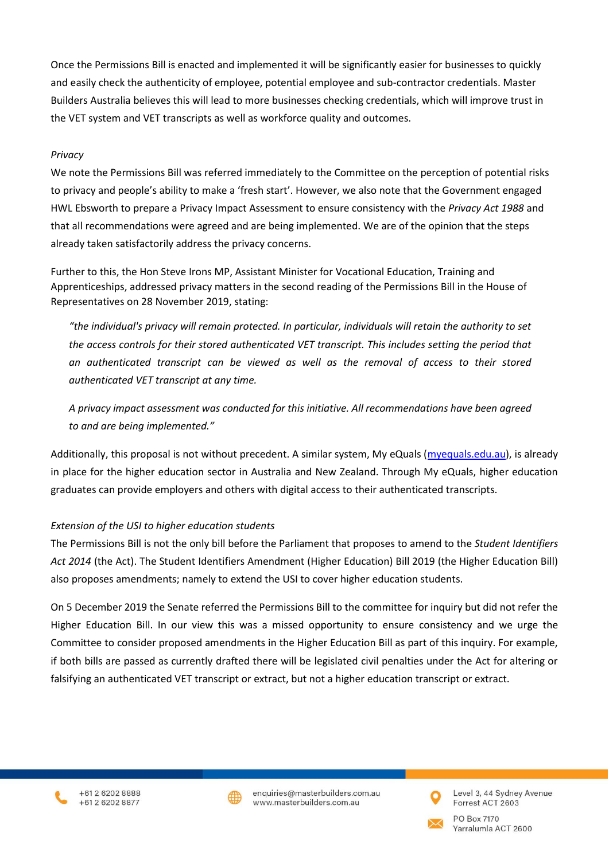Once the Permissions Bill is enacted and implemented it will be significantly easier for businesses to quickly and easily check the authenticity of employee, potential employee and sub-contractor credentials. Master Builders Australia believes this will lead to more businesses checking credentials, which will improve trust in the VET system and VET transcripts as well as workforce quality and outcomes.

## *Privacy*

We note the Permissions Bill was referred immediately to the Committee on the perception of potential risks to privacy and people's ability to make a 'fresh start'. However, we also note that the Government engaged HWL Ebsworth to prepare a Privacy Impact Assessment to ensure consistency with the *Privacy Act 1988* and that all recommendations were agreed and are being implemented. We are of the opinion that the steps already taken satisfactorily address the privacy concerns.

Further to this, the Hon Steve Irons MP, Assistant Minister for Vocational Education, Training and Apprenticeships, addressed privacy matters in the second reading of the Permissions Bill in the House of Representatives on 28 November 2019, stating:

*"the individual's privacy will remain protected. In particular, individuals will retain the authority to set the access controls for their stored authenticated VET transcript. This includes setting the period that an authenticated transcript can be viewed as well as the removal of access to their stored authenticated VET transcript at any time.*

*A privacy impact assessment was conducted for this initiative. All recommendations have been agreed to and are being implemented."*

Additionally, this proposal is not without precedent. A similar system, My eQuals [\(myequals.edu.au\)](https://www.myequals.edu.au/), is already in place for the higher education sector in Australia and New Zealand. Through My eQuals, higher education graduates can provide employers and others with digital access to their authenticated transcripts.

## *Extension of the USI to higher education students*

The Permissions Bill is not the only bill before the Parliament that proposes to amend to the *Student Identifiers Act 2014* (the Act). The Student Identifiers Amendment (Higher Education) Bill 2019 (the Higher Education Bill) also proposes amendments; namely to extend the USI to cover higher education students.

On 5 December 2019 the Senate referred the Permissions Bill to the committee for inquiry but did not refer the Higher Education Bill. In our view this was a missed opportunity to ensure consistency and we urge the Committee to consider proposed amendments in the Higher Education Bill as part of this inquiry. For example, if both bills are passed as currently drafted there will be legislated civil penalties under the Act for altering or falsifying an authenticated VET transcript or extract, but not a higher education transcript or extract.





enquiries@masterbuilders.com.au www.masterbuilders.com.au



Level 3, 44 Sydney Avenue Forrest ACT 2603



PO Box 7170 Yarralumla ACT 2600